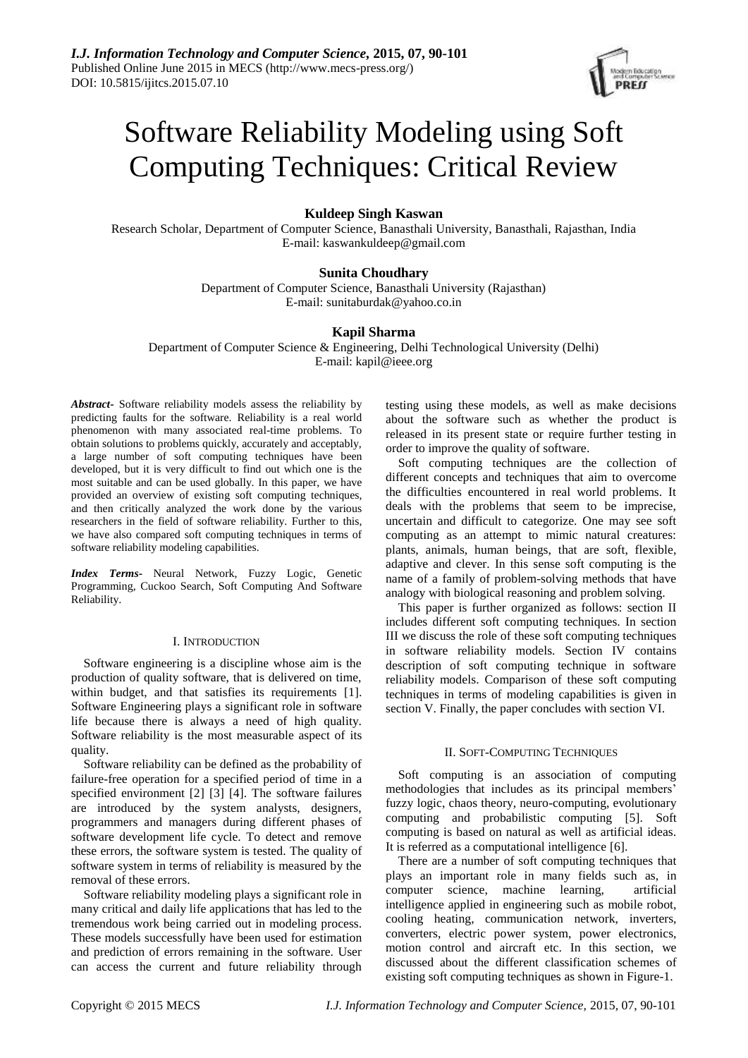

# Software Reliability Modeling using Soft Computing Techniques: Critical Review

# **Kuldeep Singh Kaswan**

Research Scholar, Department of Computer Science, Banasthali University, Banasthali, Rajasthan, India E-mail: kaswankuldeep@gmail.com

# **Sunita Choudhary**

Department of Computer Science, Banasthali University (Rajasthan) E-mail: sunitaburdak@yahoo.co.in

# **Kapil Sharma**

Department of Computer Science & Engineering, Delhi Technological University (Delhi) E-mail: kapil@ieee.org

*Abstract***-** Software reliability models assess the reliability by predicting faults for the software. Reliability is a real world phenomenon with many associated real-time problems. To obtain solutions to problems quickly, accurately and acceptably, a large number of soft computing techniques have been developed, but it is very difficult to find out which one is the most suitable and can be used globally. In this paper, we have provided an overview of existing soft computing techniques, and then critically analyzed the work done by the various researchers in the field of software reliability. Further to this, we have also compared soft computing techniques in terms of software reliability modeling capabilities.

*Index Terms***-** Neural Network, Fuzzy Logic, Genetic Programming, Cuckoo Search, Soft Computing And Software Reliability.

#### I. INTRODUCTION

Software engineering is a discipline whose aim is the production of quality software, that is delivered on time, within budget, and that satisfies its requirements [1]. Software Engineering plays a significant role in software life because there is always a need of high quality. Software reliability is the most measurable aspect of its quality.

Software reliability can be defined as the probability of failure-free operation for a specified period of time in a specified environment [2] [3] [4]. The software failures are introduced by the system analysts, designers, programmers and managers during different phases of software development life cycle. To detect and remove these errors, the software system is tested. The quality of software system in terms of reliability is measured by the removal of these errors.

Software reliability modeling plays a significant role in many critical and daily life applications that has led to the tremendous work being carried out in modeling process. These models successfully have been used for estimation and prediction of errors remaining in the software. User can access the current and future reliability through testing using these models, as well as make decisions about the software such as whether the product is released in its present state or require further testing in order to improve the quality of software.

Soft computing techniques are the collection of different concepts and techniques that aim to overcome the difficulties encountered in real world problems. It deals with the problems that seem to be imprecise, uncertain and difficult to categorize. One may see soft computing as an attempt to mimic natural creatures: plants, animals, human beings, that are soft, flexible, adaptive and clever. In this sense soft computing is the name of a family of problem-solving methods that have analogy with biological reasoning and problem solving.

This paper is further organized as follows: section II includes different soft computing techniques. In section III we discuss the role of these soft computing techniques in software reliability models. Section IV contains description of soft computing technique in software reliability models. Comparison of these soft computing techniques in terms of modeling capabilities is given in section V. Finally, the paper concludes with section VI.

#### II. SOFT-COMPUTING TECHNIQUES

Soft computing is an association of computing methodologies that includes as its principal members' fuzzy logic, chaos theory, neuro-computing, evolutionary computing and probabilistic computing [5]. Soft computing is based on natural as well as artificial ideas. It is referred as a computational intelligence [6].

There are a number of soft computing techniques that plays an important role in many fields such as, in computer science, machine learning, artificial intelligence applied in engineering such as mobile robot, cooling heating, communication network, inverters, converters, electric power system, power electronics, motion control and aircraft etc. In this section, we discussed about the different classification schemes of existing soft computing techniques as shown in Figure-1.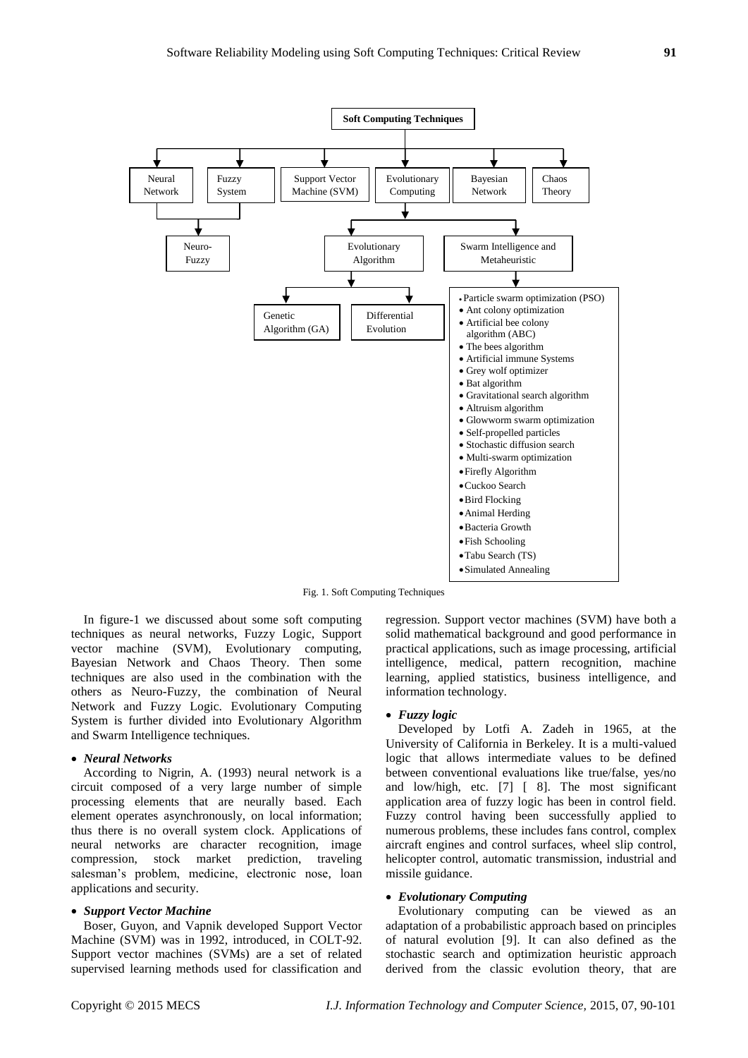

Fig. 1. Soft Computing Techniques

In figure-1 we discussed about some soft computing techniques as neural networks, Fuzzy Logic, Support vector machine (SVM), Evolutionary computing, Bayesian Network and Chaos Theory. Then some techniques are also used in the combination with the others as Neuro-Fuzzy, the combination of Neural Network and Fuzzy Logic. Evolutionary Computing System is further divided into Evolutionary Algorithm and Swarm Intelligence techniques.

# *Neural Networks*

According to Nigrin, A. (1993) neural network is a circuit composed of a very large number of simple processing elements that are neurally based. Each element operates asynchronously, on local information; thus there is no overall system clock. Applications of neural networks are character recognition, image compression, stock market prediction, traveling salesman's problem, medicine, electronic nose, loan applications and security.

#### *Support Vector Machine*

Boser, Guyon, and Vapnik developed Support Vector Machine (SVM) was in 1992, introduced, in COLT-92. Support vector machines (SVMs) are a set of related supervised learning methods used for classification and

regression. Support vector machines (SVM) have both a solid mathematical background and good performance in practical applications, such as image processing, artificial intelligence, medical, pattern recognition, machine learning, applied statistics, business intelligence, and information technology.

# *Fuzzy logic*

Developed by Lotfi A. Zadeh in 1965, at the University of California in Berkeley. It is a multi-valued logic that allows intermediate values to be defined between conventional evaluations like true/false, yes/no and low/high, etc. [7] [ 8]. The most significant application area of fuzzy logic has been in control field. Fuzzy control having been successfully applied to numerous problems, these includes fans control, complex aircraft engines and control surfaces, wheel slip control, helicopter control, automatic transmission, industrial and missile guidance.

## *Evolutionary Computing*

Evolutionary computing can be viewed as an adaptation of a probabilistic approach based on principles of natural evolution [9]. It can also defined as the stochastic search and optimization heuristic approach derived from the classic evolution theory, that are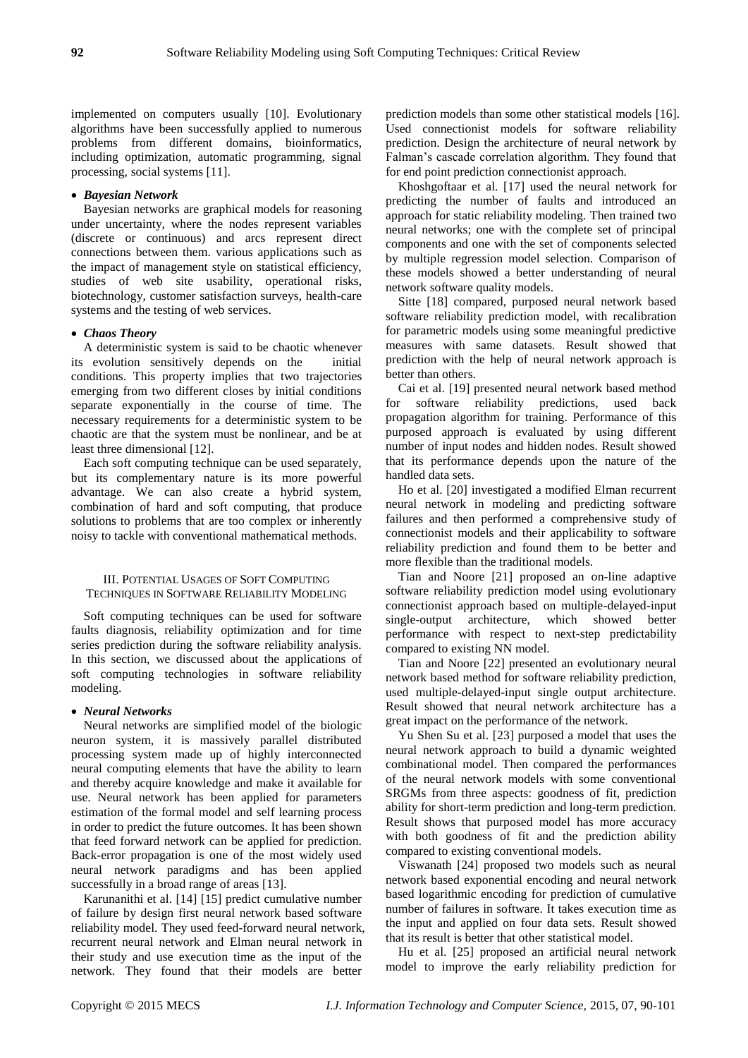implemented on computers usually [10]. Evolutionary algorithms have been successfully applied to numerous problems from different domains, bioinformatics, including optimization, automatic programming, signal processing, social systems [11].

## *Bayesian Network*

Bayesian networks are graphical models for reasoning under uncertainty, where the nodes represent variables (discrete or continuous) and arcs represent direct connections between them. various applications such as the impact of management style on statistical efficiency, studies of web site usability, operational risks, biotechnology, customer satisfaction surveys, health-care systems and the testing of web services.

## *Chaos Theory*

A deterministic system is said to be chaotic whenever its evolution sensitively depends on the initial conditions. This property implies that two trajectories emerging from two different closes by initial conditions separate exponentially in the course of time. The necessary requirements for a deterministic system to be chaotic are that the system must be nonlinear, and be at least three dimensional [12].

Each soft computing technique can be used separately, but its complementary nature is its more powerful advantage. We can also create a hybrid system, combination of hard and soft computing, that produce solutions to problems that are too complex or inherently noisy to tackle with conventional mathematical methods.

## III. POTENTIAL USAGES OF SOFT COMPUTING TECHNIQUES IN SOFTWARE RELIABILITY MODELING

Soft computing techniques can be used for software faults diagnosis, reliability optimization and for time series prediction during the software reliability analysis. In this section, we discussed about the applications of soft computing technologies in software reliability modeling.

#### *Neural Networks*

Neural networks are simplified model of the biologic neuron system, it is massively parallel distributed processing system made up of highly interconnected neural computing elements that have the ability to learn and thereby acquire knowledge and make it available for use. Neural network has been applied for parameters estimation of the formal model and self learning process in order to predict the future outcomes. It has been shown that feed forward network can be applied for prediction. Back-error propagation is one of the most widely used neural network paradigms and has been applied successfully in a broad range of areas [13].

Karunanithi et al. [14] [15] predict cumulative number of failure by design first neural network based software reliability model. They used feed-forward neural network, recurrent neural network and Elman neural network in their study and use execution time as the input of the network. They found that their models are better

prediction models than some other statistical models [16]. Used connectionist models for software reliability prediction. Design the architecture of neural network by Falman's cascade correlation algorithm. They found that for end point prediction connectionist approach.

Khoshgoftaar et al. [17] used the neural network for predicting the number of faults and introduced an approach for static reliability modeling. Then trained two neural networks; one with the complete set of principal components and one with the set of components selected by multiple regression model selection. Comparison of these models showed a better understanding of neural network software quality models.

Sitte [18] compared, purposed neural network based software reliability prediction model, with recalibration for parametric models using some meaningful predictive measures with same datasets. Result showed that prediction with the help of neural network approach is better than others.

Cai et al. [19] presented neural network based method for software reliability predictions, used back propagation algorithm for training. Performance of this purposed approach is evaluated by using different number of input nodes and hidden nodes. Result showed that its performance depends upon the nature of the handled data sets.

Ho et al. [20] investigated a modified Elman recurrent neural network in modeling and predicting software failures and then performed a comprehensive study of connectionist models and their applicability to software reliability prediction and found them to be better and more flexible than the traditional models.

Tian and Noore [21] proposed an on-line adaptive software reliability prediction model using evolutionary connectionist approach based on multiple-delayed-input single-output architecture, which showed better performance with respect to next-step predictability compared to existing NN model.

Tian and Noore [22] presented an evolutionary neural network based method for software reliability prediction, used multiple-delayed-input single output architecture. Result showed that neural network architecture has a great impact on the performance of the network.

Yu Shen Su et al. [23] purposed a model that uses the neural network approach to build a dynamic weighted combinational model. Then compared the performances of the neural network models with some conventional SRGMs from three aspects: goodness of fit, prediction ability for short-term prediction and long-term prediction. Result shows that purposed model has more accuracy with both goodness of fit and the prediction ability compared to existing conventional models.

Viswanath [24] proposed two models such as neural network based exponential encoding and neural network based logarithmic encoding for prediction of cumulative number of failures in software. It takes execution time as the input and applied on four data sets. Result showed that its result is better that other statistical model.

Hu et al. [25] proposed an artificial neural network model to improve the early reliability prediction for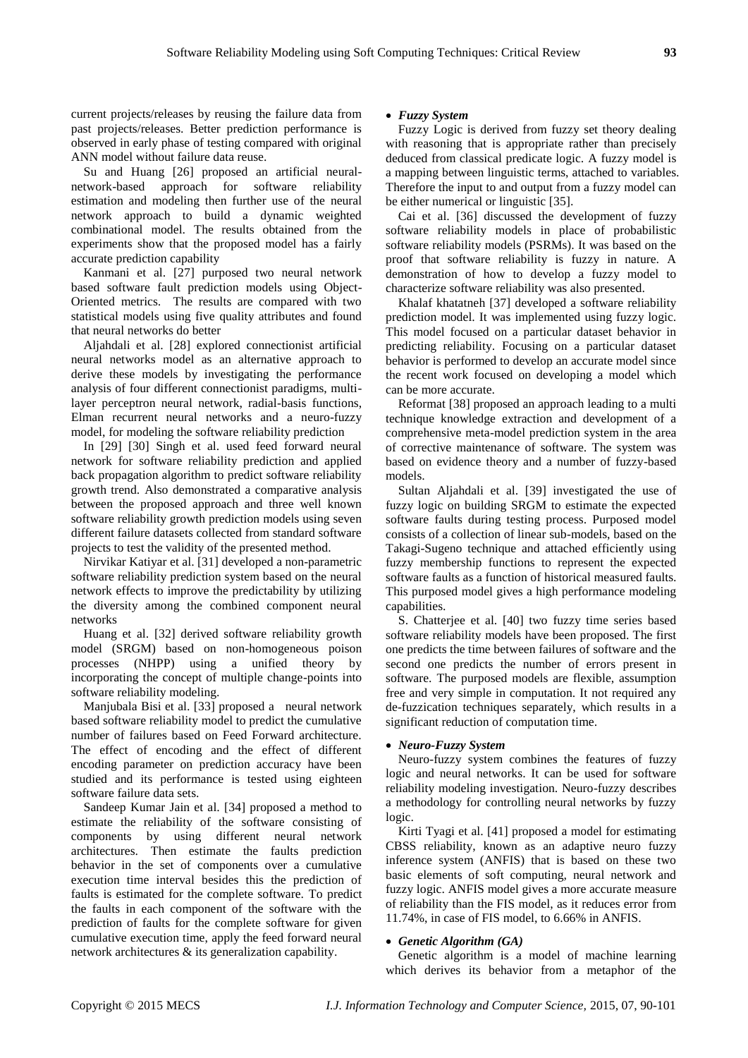current projects/releases by reusing the failure data from past projects/releases. Better prediction performance is observed in early phase of testing compared with original ANN model without failure data reuse.

Su and Huang [26] proposed an artificial neuralnetwork-based approach for software reliability estimation and modeling then further use of the neural network approach to build a dynamic weighted combinational model. The results obtained from the experiments show that the proposed model has a fairly accurate prediction capability

Kanmani et al. [27] purposed two neural network based software fault prediction models using Object-Oriented metrics. The results are compared with two statistical models using five quality attributes and found that neural networks do better

Aljahdali et al. [28] explored connectionist artificial neural networks model as an alternative approach to derive these models by investigating the performance analysis of four different connectionist paradigms, multilayer perceptron neural network, radial-basis functions, Elman recurrent neural networks and a neuro-fuzzy model, for modeling the software reliability prediction

In [29] [30] Singh et al. used feed forward neural network for software reliability prediction and applied back propagation algorithm to predict software reliability growth trend. Also demonstrated a comparative analysis between the proposed approach and three well known software reliability growth prediction models using seven different failure datasets collected from standard software projects to test the validity of the presented method.

Nirvikar Katiyar et al. [31] developed a non-parametric software reliability prediction system based on the neural network effects to improve the predictability by utilizing the diversity among the combined component neural networks

Huang et al. [32] derived software reliability growth model (SRGM) based on non-homogeneous poison processes (NHPP) using a unified theory by incorporating the concept of multiple change-points into software reliability modeling.

Manjubala Bisi et al. [33] proposed a neural network based software reliability model to predict the cumulative number of failures based on Feed Forward architecture. The effect of encoding and the effect of different encoding parameter on prediction accuracy have been studied and its performance is tested using eighteen software failure data sets.

Sandeep Kumar Jain et al. [34] proposed a method to estimate the reliability of the software consisting of components by using different neural network architectures. Then estimate the faults prediction behavior in the set of components over a cumulative execution time interval besides this the prediction of faults is estimated for the complete software. To predict the faults in each component of the software with the prediction of faults for the complete software for given cumulative execution time, apply the feed forward neural network architectures & its generalization capability.

#### *Fuzzy System*

Fuzzy Logic is derived from fuzzy set theory dealing with reasoning that is appropriate rather than precisely deduced from classical predicate logic. A fuzzy model is a mapping between linguistic terms, attached to variables. Therefore the input to and output from a fuzzy model can be either numerical or linguistic [35].

Cai et al. [36] discussed the development of fuzzy software reliability models in place of probabilistic software reliability models (PSRMs). It was based on the proof that software reliability is fuzzy in nature. A demonstration of how to develop a fuzzy model to characterize software reliability was also presented.

Khalaf khatatneh [37] developed a software reliability prediction model. It was implemented using fuzzy logic. This model focused on a particular dataset behavior in predicting reliability. Focusing on a particular dataset behavior is performed to develop an accurate model since the recent work focused on developing a model which can be more accurate.

Reformat [38] proposed an approach leading to a multi technique knowledge extraction and development of a comprehensive meta-model prediction system in the area of corrective maintenance of software. The system was based on evidence theory and a number of fuzzy-based models.

Sultan Aljahdali et al. [39] investigated the use of fuzzy logic on building SRGM to estimate the expected software faults during testing process. Purposed model consists of a collection of linear sub-models, based on the Takagi-Sugeno technique and attached efficiently using fuzzy membership functions to represent the expected software faults as a function of historical measured faults. This purposed model gives a high performance modeling capabilities.

S. Chatterjee et al. [40] two fuzzy time series based software reliability models have been proposed. The first one predicts the time between failures of software and the second one predicts the number of errors present in software. The purposed models are flexible, assumption free and very simple in computation. It not required any de-fuzzication techniques separately, which results in a significant reduction of computation time.

#### *Neuro-Fuzzy System*

Neuro-fuzzy system combines the features of fuzzy logic and neural networks. It can be used for software reliability modeling investigation. Neuro-fuzzy describes a methodology for controlling neural networks by fuzzy logic.

Kirti Tyagi et al. [41] proposed a model for estimating CBSS reliability, known as an adaptive neuro fuzzy inference system (ANFIS) that is based on these two basic elements of soft computing, neural network and fuzzy logic. ANFIS model gives a more accurate measure of reliability than the FIS model, as it reduces error from 11.74%, in case of FIS model, to 6.66% in ANFIS.

#### *Genetic Algorithm (GA)*

Genetic algorithm is a model of machine learning which derives its behavior from a metaphor of the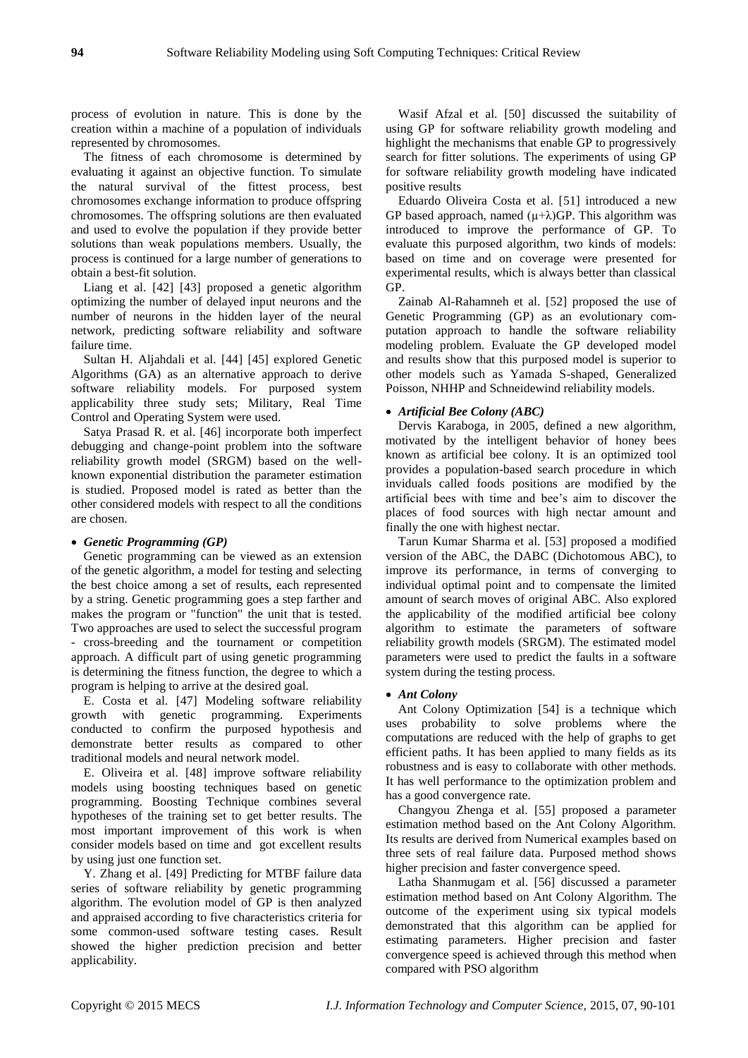process of evolution in nature. This is done by the creation within a machine of a population of individuals represented by chromosomes.

The fitness of each chromosome is determined by evaluating it against an objective function. To simulate the natural survival of the fittest process, best chromosomes exchange information to produce offspring chromosomes. The offspring solutions are then evaluated and used to evolve the population if they provide better solutions than weak populations members. Usually, the process is continued for a large number of generations to obtain a best-fit solution.

Liang et al. [42] [43] proposed a genetic algorithm optimizing the number of delayed input neurons and the number of neurons in the hidden layer of the neural network, predicting software reliability and software failure time.

Sultan H. Aljahdali et al. [44] [45] explored Genetic Algorithms (GA) as an alternative approach to derive software reliability models. For purposed system applicability three study sets; Military, Real Time Control and Operating System were used.

Satya Prasad R. et al. [46] incorporate both imperfect debugging and change-point problem into the software reliability growth model (SRGM) based on the wellknown exponential distribution the parameter estimation is studied. Proposed model is rated as better than the other considered models with respect to all the conditions are chosen.

# *Genetic Programming (GP)*

Genetic programming can be viewed as an extension of the genetic algorithm, a model for testing and selecting the best choice among a set of results, each represented by a string. Genetic programming goes a step farther and makes the program or "function" the unit that is tested. Two approaches are used to select the successful program - cross-breeding and the tournament or competition approach. A difficult part of using genetic programming is determining the fitness function, the degree to which a program is helping to arrive at the desired goal.

E. Costa et al. [47] Modeling software reliability growth with genetic programming. Experiments conducted to confirm the purposed hypothesis and demonstrate better results as compared to other traditional models and neural network model.

E. Oliveira et al. [48] improve software reliability models using boosting techniques based on genetic programming. Boosting Technique combines several hypotheses of the training set to get better results. The most important improvement of this work is when consider models based on time and got excellent results by using just one function set.

Y. Zhang et al. [49] Predicting for MTBF failure data series of software reliability by genetic programming algorithm. The evolution model of GP is then analyzed and appraised according to five characteristics criteria for some common-used software testing cases. Result showed the higher prediction precision and better applicability.

Wasif Afzal et al. [50] discussed the suitability of using GP for software reliability growth modeling and highlight the mechanisms that enable GP to progressively search for fitter solutions. The experiments of using GP for software reliability growth modeling have indicated positive results

Eduardo Oliveira Costa et al. [51] introduced a new GP based approach, named  $(\mu+\lambda)GP$ . This algorithm was introduced to improve the performance of GP. To evaluate this purposed algorithm, two kinds of models: based on time and on coverage were presented for experimental results, which is always better than classical GP.

Zainab Al-Rahamneh et al. [52] proposed the use of Genetic Programming (GP) as an evolutionary computation approach to handle the software reliability modeling problem. Evaluate the GP developed model and results show that this purposed model is superior to other models such as Yamada S-shaped, Generalized Poisson, NHHP and Schneidewind reliability models.

# *Artificial Bee Colony (ABC)*

Dervis Karaboga, in 2005, defined a new algorithm, motivated by the intelligent behavior of honey bees known as artificial bee colony. It is an optimized tool provides a population-based search procedure in which inviduals called foods positions are modified by the artificial bees with time and bee's aim to discover the places of food sources with high nectar amount and finally the one with highest nectar.

Tarun Kumar Sharma et al. [53] proposed a modified version of the ABC, the DABC (Dichotomous ABC), to improve its performance, in terms of converging to individual optimal point and to compensate the limited amount of search moves of original ABC. Also explored the applicability of the modified artificial bee colony algorithm to estimate the parameters of software reliability growth models (SRGM). The estimated model parameters were used to predict the faults in a software system during the testing process.

# *Ant Colony*

Ant Colony Optimization [54] is a technique which uses probability to solve problems where the computations are reduced with the help of graphs to get efficient paths. It has been applied to many fields as its robustness and is easy to collaborate with other methods. It has well performance to the optimization problem and has a good convergence rate.

Changyou Zhenga et al. [55] proposed a parameter estimation method based on the Ant Colony Algorithm. Its results are derived from Numerical examples based on three sets of real failure data. Purposed method shows higher precision and faster convergence speed.

Latha Shanmugam et al. [56] discussed a parameter estimation method based on Ant Colony Algorithm. The outcome of the experiment using six typical models demonstrated that this algorithm can be applied for estimating parameters. Higher precision and faster convergence speed is achieved through this method when compared with PSO algorithm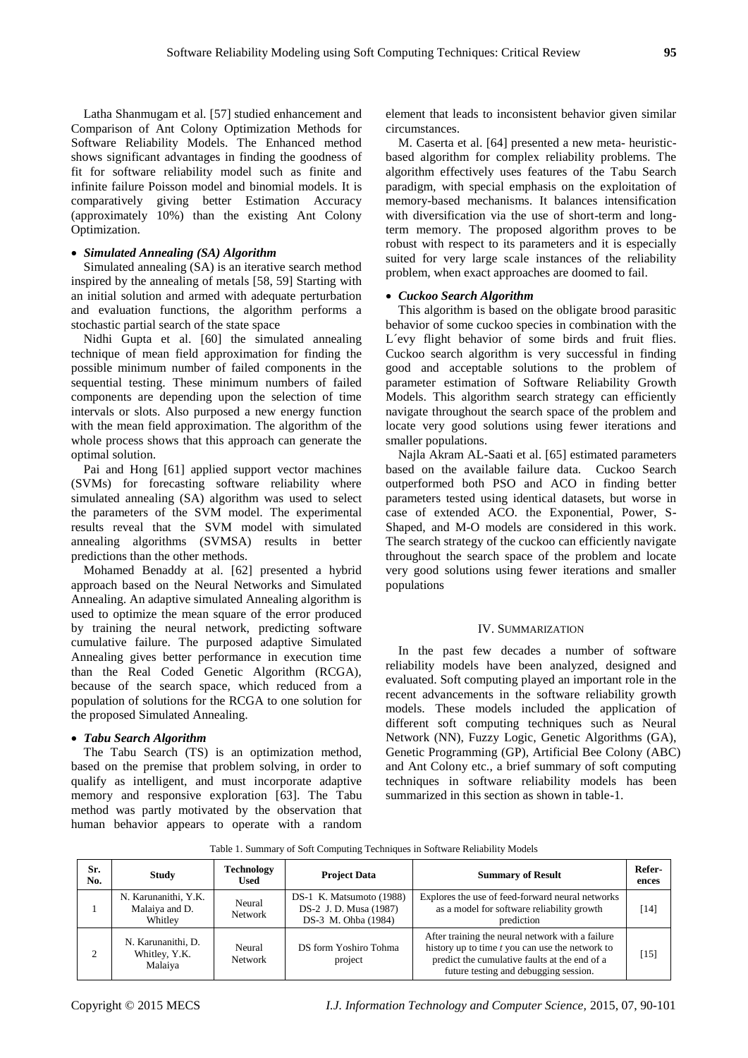Latha Shanmugam et al. [57] studied enhancement and Comparison of Ant Colony Optimization Methods for Software Reliability Models. The Enhanced method shows significant advantages in finding the goodness of fit for software reliability model such as finite and infinite failure Poisson model and binomial models. It is comparatively giving better Estimation Accuracy (approximately 10%) than the existing Ant Colony Optimization.

#### *Simulated Annealing (SA) Algorithm*

Simulated annealing (SA) is an iterative search method inspired by the annealing of metals [58, 59] Starting with an initial solution and armed with adequate perturbation and evaluation functions, the algorithm performs a stochastic partial search of the state space

Nidhi Gupta et al. [60] the simulated annealing technique of mean field approximation for finding the possible minimum number of failed components in the sequential testing. These minimum numbers of failed components are depending upon the selection of time intervals or slots. Also purposed a new energy function with the mean field approximation. The algorithm of the whole process shows that this approach can generate the optimal solution.

Pai and Hong [61] applied support vector machines (SVMs) for forecasting software reliability where simulated annealing (SA) algorithm was used to select the parameters of the SVM model. The experimental results reveal that the SVM model with simulated annealing algorithms (SVMSA) results in better predictions than the other methods.

Mohamed Benaddy at al. [62] presented a hybrid approach based on the Neural Networks and Simulated Annealing. An adaptive simulated Annealing algorithm is used to optimize the mean square of the error produced by training the neural network, predicting software cumulative failure. The purposed adaptive Simulated Annealing gives better performance in execution time than the Real Coded Genetic Algorithm (RCGA), because of the search space, which reduced from a population of solutions for the RCGA to one solution for the proposed Simulated Annealing.

# *Tabu Search Algorithm*

The Tabu Search (TS) is an optimization method, based on the premise that problem solving, in order to qualify as intelligent, and must incorporate adaptive memory and responsive exploration [63]. The Tabu method was partly motivated by the observation that human behavior appears to operate with a random element that leads to inconsistent behavior given similar circumstances.

M. Caserta et al. [64] presented a new meta- heuristicbased algorithm for complex reliability problems. The algorithm effectively uses features of the Tabu Search paradigm, with special emphasis on the exploitation of memory-based mechanisms. It balances intensification with diversification via the use of short-term and longterm memory. The proposed algorithm proves to be robust with respect to its parameters and it is especially suited for very large scale instances of the reliability problem, when exact approaches are doomed to fail.

## *Cuckoo Search Algorithm*

This algorithm is based on the obligate brood parasitic behavior of some cuckoo species in combination with the L'evy flight behavior of some birds and fruit flies. Cuckoo search algorithm is very successful in finding good and acceptable solutions to the problem of parameter estimation of Software Reliability Growth Models. This algorithm search strategy can efficiently navigate throughout the search space of the problem and locate very good solutions using fewer iterations and smaller populations.

Najla Akram AL-Saati et al. [65] estimated parameters based on the available failure data. Cuckoo Search outperformed both PSO and ACO in finding better parameters tested using identical datasets, but worse in case of extended ACO. the Exponential, Power, S-Shaped, and M-O models are considered in this work. The search strategy of the cuckoo can efficiently navigate throughout the search space of the problem and locate very good solutions using fewer iterations and smaller populations

#### IV. SUMMARIZATION

In the past few decades a number of software reliability models have been analyzed, designed and evaluated. Soft computing played an important role in the recent advancements in the software reliability growth models. These models included the application of different soft computing techniques such as Neural Network (NN), Fuzzy Logic, Genetic Algorithms (GA), Genetic Programming (GP), Artificial Bee Colony (ABC) and Ant Colony etc., a brief summary of soft computing techniques in software reliability models has been summarized in this section as shown in table-1.

Table 1. Summary of Soft Computing Techniques in Software Reliability Models

| Sr.<br>No. | <b>Study</b>                                      | <b>Technology</b><br>Used | <b>Project Data</b>                                                       | <b>Summary of Result</b>                                                                                                                                                                        | Refer-<br>ences |
|------------|---------------------------------------------------|---------------------------|---------------------------------------------------------------------------|-------------------------------------------------------------------------------------------------------------------------------------------------------------------------------------------------|-----------------|
|            | N. Karunanithi, Y.K.<br>Malaiya and D.<br>Whitley | Neural<br><b>Network</b>  | DS-1 K. Matsumoto (1988)<br>DS-2 J. D. Musa (1987)<br>DS-3 M. Ohba (1984) | Explores the use of feed-forward neural networks<br>as a model for software reliability growth<br>prediction                                                                                    | [14]            |
|            | N. Karunanithi, D.<br>Whitley, Y.K.<br>Malaiya    | Neural<br><b>Network</b>  | DS form Yoshiro Tohma<br>project                                          | After training the neural network with a failure<br>history up to time $t$ you can use the network to<br>predict the cumulative faults at the end of a<br>future testing and debugging session. | $[15]$          |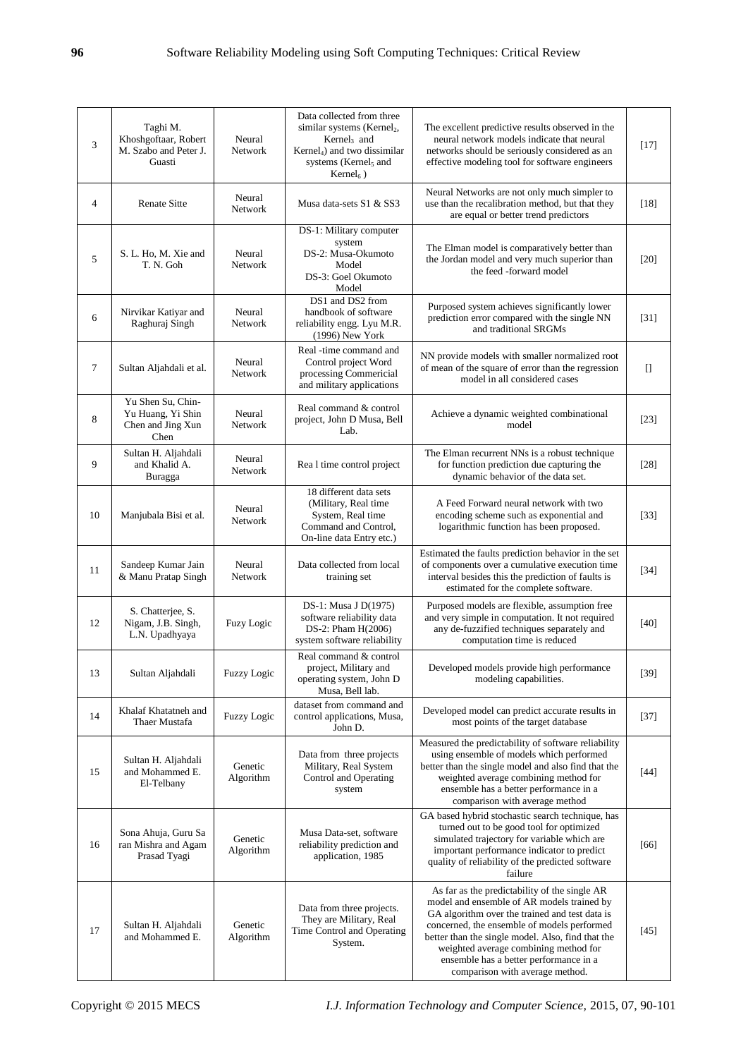| 3               | Taghi M.<br>Khoshgoftaar, Robert<br>M. Szabo and Peter J.<br>Guasti | Neural<br>Network    | Data collected from three<br>similar systems (Kernel,<br>Kernel <sub>3</sub> and<br>Kernel <sub>4</sub> ) and two dissimilar<br>systems (Kernel <sub>5</sub> and<br>Kernel <sub>6</sub> ) | The excellent predictive results observed in the<br>neural network models indicate that neural<br>networks should be seriously considered as an<br>effective modeling tool for software engineers                                                                                                                                                                       | $[17]$                                                                                                                                                                                                                                                                                                                                                               |
|-----------------|---------------------------------------------------------------------|----------------------|-------------------------------------------------------------------------------------------------------------------------------------------------------------------------------------------|-------------------------------------------------------------------------------------------------------------------------------------------------------------------------------------------------------------------------------------------------------------------------------------------------------------------------------------------------------------------------|----------------------------------------------------------------------------------------------------------------------------------------------------------------------------------------------------------------------------------------------------------------------------------------------------------------------------------------------------------------------|
| 4               | <b>Renate Sitte</b>                                                 | Neural<br>Network    | Musa data-sets S1 & SS3                                                                                                                                                                   | Neural Networks are not only much simpler to<br>use than the recalibration method, but that they<br>are equal or better trend predictors                                                                                                                                                                                                                                | $[18]$                                                                                                                                                                                                                                                                                                                                                               |
| 5               | S. L. Ho, M. Xie and<br>T. N. Goh                                   | Neural<br>Network    | DS-1: Military computer<br>system<br>DS-2: Musa-Okumoto<br>Model<br>DS-3: Goel Okumoto<br>Model                                                                                           | The Elman model is comparatively better than<br>the Jordan model and very much superior than<br>the feed -forward model                                                                                                                                                                                                                                                 | $[20]$                                                                                                                                                                                                                                                                                                                                                               |
| 6               | Nirvikar Katiyar and<br>Raghuraj Singh                              | Neural<br>Network    | DS1 and DS2 from<br>handbook of software<br>reliability engg. Lyu M.R.<br>(1996) New York                                                                                                 | Purposed system achieves significantly lower<br>prediction error compared with the single NN<br>and traditional SRGMs                                                                                                                                                                                                                                                   | $[31]$                                                                                                                                                                                                                                                                                                                                                               |
| $7\phantom{.0}$ | Sultan Aljahdali et al.                                             | Neural<br>Network    | Real -time command and<br>Control project Word<br>processing Commericial<br>and military applications                                                                                     | NN provide models with smaller normalized root<br>of mean of the square of error than the regression<br>model in all considered cases                                                                                                                                                                                                                                   | $[] \centering \includegraphics[width=0.47\textwidth]{images/TransY_1.png} \caption{The first two different values of $100$ K, $100$ K, $100$ K, $100$ K, $100$ K, $100$ K, $100$ K, $100$ K, $100$ K, $100$ K, $100$ K, $100$ K, $100$ K, $100$ K, $100$ K, $100$ K, $100$ K, $100$ K, $100$ K, $100$ K, $100$ K, $100$ K, $100$ K, $100$ K, $100$ K, $100$ K, $10$ |
| 8               | Yu Shen Su. Chin-<br>Yu Huang, Yi Shin<br>Chen and Jing Xun<br>Chen | Neural<br>Network    | Real command & control<br>project, John D Musa, Bell<br>Lab.                                                                                                                              | Achieve a dynamic weighted combinational<br>model                                                                                                                                                                                                                                                                                                                       | $[23]$                                                                                                                                                                                                                                                                                                                                                               |
| 9               | Sultan H. Aljahdali<br>and Khalid A.<br>Buragga                     | Neural<br>Network    | Rea 1 time control project                                                                                                                                                                | The Elman recurrent NNs is a robust technique<br>for function prediction due capturing the<br>dynamic behavior of the data set.                                                                                                                                                                                                                                         | $[28]$                                                                                                                                                                                                                                                                                                                                                               |
| 10              | Manjubala Bisi et al.                                               | Neural<br>Network    | 18 different data sets<br>(Military, Real time<br>System, Real time<br>Command and Control,<br>On-line data Entry etc.)                                                                   | A Feed Forward neural network with two<br>encoding scheme such as exponential and<br>logarithmic function has been proposed.                                                                                                                                                                                                                                            | $[33]$                                                                                                                                                                                                                                                                                                                                                               |
| 11              | Sandeep Kumar Jain<br>& Manu Pratap Singh                           | Neural<br>Network    | Data collected from local<br>training set                                                                                                                                                 | Estimated the faults prediction behavior in the set<br>of components over a cumulative execution time<br>interval besides this the prediction of faults is<br>estimated for the complete software.                                                                                                                                                                      | $[34]$                                                                                                                                                                                                                                                                                                                                                               |
| 12              | S. Chatterjee, S.<br>Nigam, J.B. Singh,<br>L.N. Upadhyaya           | Fuzy Logic           | DS-1: Musa J D(1975)<br>software reliability data<br>DS-2: Pham H(2006)<br>system software reliability                                                                                    | Purposed models are flexible, assumption free<br>and very simple in computation. It not required<br>any de-fuzzified techniques separately and<br>computation time is reduced                                                                                                                                                                                           | $[40]$                                                                                                                                                                                                                                                                                                                                                               |
| 13              | Sultan Aljahdali                                                    | <b>Fuzzy Logic</b>   | Real command & control<br>project, Military and<br>operating system, John D<br>Musa, Bell lab.                                                                                            | Developed models provide high performance<br>modeling capabilities.                                                                                                                                                                                                                                                                                                     | $[39]$                                                                                                                                                                                                                                                                                                                                                               |
| 14              | Khalaf Khatatneh and<br>Thaer Mustafa                               | <b>Fuzzy Logic</b>   | dataset from command and<br>control applications, Musa,<br>John D.                                                                                                                        | Developed model can predict accurate results in<br>most points of the target database                                                                                                                                                                                                                                                                                   | $[37]$                                                                                                                                                                                                                                                                                                                                                               |
| 15              | Sultan H. Aljahdali<br>and Mohammed E.<br>El-Telbany                | Genetic<br>Algorithm | Data from three projects<br>Military, Real System<br>Control and Operating<br>system                                                                                                      | Measured the predictability of software reliability<br>using ensemble of models which performed<br>better than the single model and also find that the<br>weighted average combining method for<br>ensemble has a better performance in a<br>comparison with average method                                                                                             | $[44]$                                                                                                                                                                                                                                                                                                                                                               |
| 16              | Sona Ahuja, Guru Sa<br>ran Mishra and Agam<br>Prasad Tyagi          | Genetic<br>Algorithm | Musa Data-set, software<br>reliability prediction and<br>application, 1985                                                                                                                | GA based hybrid stochastic search technique, has<br>turned out to be good tool for optimized<br>simulated trajectory for variable which are<br>important performance indicator to predict<br>quality of reliability of the predicted software<br>failure                                                                                                                | $[66]$                                                                                                                                                                                                                                                                                                                                                               |
| 17              | Sultan H. Aljahdali<br>and Mohammed E.                              | Genetic<br>Algorithm | Data from three projects.<br>They are Military, Real<br>Time Control and Operating<br>System.                                                                                             | As far as the predictability of the single AR<br>model and ensemble of AR models trained by<br>GA algorithm over the trained and test data is<br>concerned, the ensemble of models performed<br>better than the single model. Also, find that the<br>weighted average combining method for<br>ensemble has a better performance in a<br>comparison with average method. | $[45]$                                                                                                                                                                                                                                                                                                                                                               |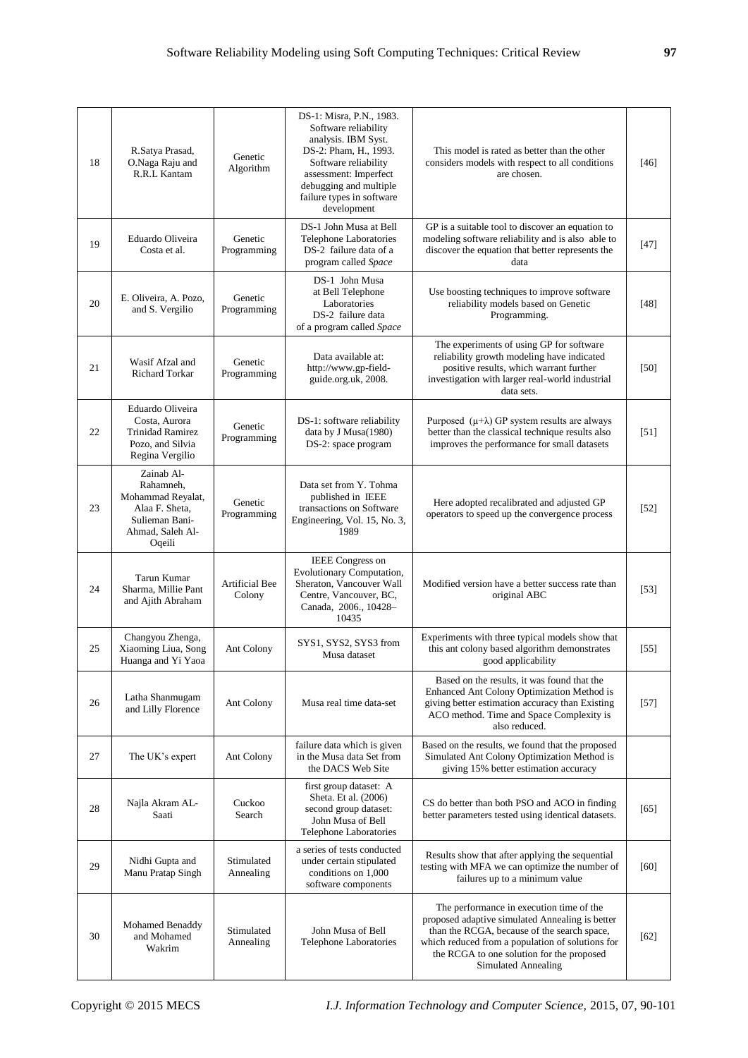| 18 | R.Satya Prasad,<br>O.Naga Raju and<br>R.R.L Kantam                                                             | Genetic<br>Algorithm     | DS-1: Misra, P.N., 1983.<br>Software reliability<br>analysis. IBM Syst.<br>DS-2: Pham, H., 1993.<br>Software reliability<br>assessment: Imperfect<br>debugging and multiple<br>failure types in software<br>development                                                                                                  | This model is rated as better than the other<br>considers models with respect to all conditions<br>are chosen.                                                                                            | [46]   |
|----|----------------------------------------------------------------------------------------------------------------|--------------------------|--------------------------------------------------------------------------------------------------------------------------------------------------------------------------------------------------------------------------------------------------------------------------------------------------------------------------|-----------------------------------------------------------------------------------------------------------------------------------------------------------------------------------------------------------|--------|
| 19 | Eduardo Oliveira<br>Costa et al.                                                                               | Genetic<br>Programming   | DS-1 John Musa at Bell<br>Telephone Laboratories<br>DS-2 failure data of a<br>program called Space                                                                                                                                                                                                                       | GP is a suitable tool to discover an equation to<br>modeling software reliability and is also able to<br>discover the equation that better represents the<br>data                                         | $[47]$ |
| 20 | E. Oliveira, A. Pozo,<br>and S. Vergilio                                                                       | Genetic<br>Programming   | DS-1 John Musa<br>at Bell Telephone<br>Laboratories<br>DS-2 failure data<br>of a program called Space                                                                                                                                                                                                                    | Use boosting techniques to improve software<br>reliability models based on Genetic<br>Programming.                                                                                                        | [48]   |
| 21 | Wasif Afzal and<br>Richard Torkar                                                                              | Genetic<br>Programming   | The experiments of using GP for software<br>Data available at:<br>reliability growth modeling have indicated<br>positive results, which warrant further<br>http://www.gp-field-<br>guide.org.uk, 2008.<br>investigation with larger real-world industrial<br>data sets.                                                  |                                                                                                                                                                                                           | $[50]$ |
| 22 | Eduardo Oliveira<br>Costa, Aurora<br><b>Trinidad Ramirez</b><br>Pozo, and Silvia<br>Regina Vergilio            | Genetic<br>Programming   | DS-1: software reliability<br>data by J Musa(1980)<br>DS-2: space program                                                                                                                                                                                                                                                | Purposed $(\mu + \lambda)$ GP system results are always<br>better than the classical technique results also<br>improves the performance for small datasets                                                | $[51]$ |
| 23 | Zainab Al-<br>Rahamneh,<br>Mohammad Reyalat,<br>Alaa F. Sheta,<br>Sulieman Bani-<br>Ahmad, Saleh Al-<br>Oqeili | Genetic<br>Programming   | Data set from Y. Tohma<br>published in IEEE<br>transactions on Software<br>Engineering, Vol. 15, No. 3,<br>1989                                                                                                                                                                                                          | Here adopted recalibrated and adjusted GP<br>operators to speed up the convergence process                                                                                                                | $[52]$ |
| 24 | Tarun Kumar<br>Sharma, Millie Pant<br>and Ajith Abraham                                                        | Artificial Bee<br>Colony | <b>IEEE</b> Congress on<br>Evolutionary Computation,<br>Sheraton, Vancouver Wall<br>Centre, Vancouver, BC,<br>Canada, 2006., 10428-<br>10435                                                                                                                                                                             | Modified version have a better success rate than<br>original ABC                                                                                                                                          | [53]   |
| 25 | Changyou Zhenga,<br>Xiaoming Liua, Song<br>Huanga and Yi Yaoa                                                  | Ant Colony               | SYS1, SYS2, SYS3 from<br>Musa dataset                                                                                                                                                                                                                                                                                    | Experiments with three typical models show that<br>this ant colony based algorithm demonstrates<br>good applicability                                                                                     | $[55]$ |
| 26 | Latha Shanmugam<br>and Lilly Florence                                                                          | Ant Colony               | Musa real time data-set                                                                                                                                                                                                                                                                                                  | Based on the results, it was found that the<br>Enhanced Ant Colony Optimization Method is<br>giving better estimation accuracy than Existing<br>ACO method. Time and Space Complexity is<br>also reduced. | $[57]$ |
| 27 | The UK's expert                                                                                                | Ant Colony               | failure data which is given<br>in the Musa data Set from<br>the DACS Web Site                                                                                                                                                                                                                                            | Based on the results, we found that the proposed<br>Simulated Ant Colony Optimization Method is<br>giving 15% better estimation accuracy                                                                  |        |
| 28 | Najla Akram AL-<br>Saati                                                                                       | Cuckoo<br>Search         | first group dataset: A<br>Sheta. Et al. (2006)<br>second group dataset:<br>John Musa of Bell<br>Telephone Laboratories                                                                                                                                                                                                   | CS do better than both PSO and ACO in finding<br>better parameters tested using identical datasets.                                                                                                       | [65]   |
| 29 | Nidhi Gupta and<br>Manu Pratap Singh                                                                           | Stimulated<br>Annealing  | a series of tests conducted<br>under certain stipulated<br>conditions on 1,000<br>software components                                                                                                                                                                                                                    | Results show that after applying the sequential<br>testing with MFA we can optimize the number of<br>failures up to a minimum value                                                                       | [60]   |
| 30 | Mohamed Benaddy<br>and Mohamed<br>Wakrim                                                                       | Stimulated<br>Annealing  | The performance in execution time of the<br>proposed adaptive simulated Annealing is better<br>John Musa of Bell<br>than the RCGA, because of the search space,<br>which reduced from a population of solutions for<br>Telephone Laboratories<br>the RCGA to one solution for the proposed<br><b>Simulated Annealing</b> |                                                                                                                                                                                                           | [62]   |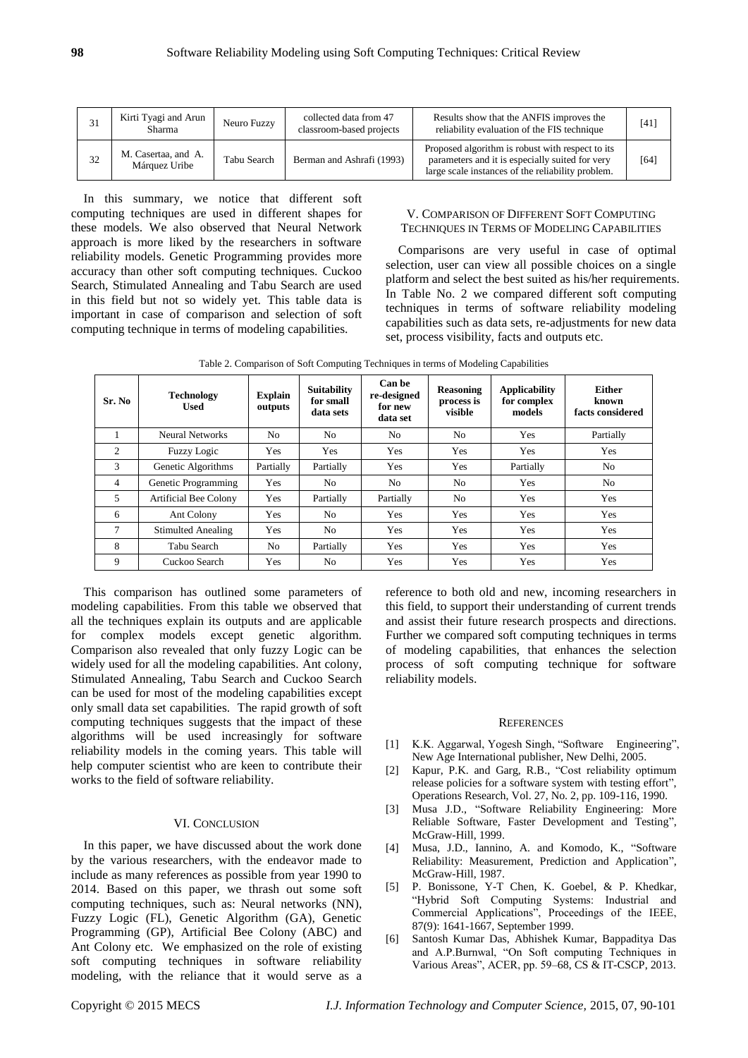| 31 | Kirti Tyagi and Arun<br>Sharma        | Neuro Fuzzy | collected data from 47<br>classroom-based projects | Results show that the ANFIS improves the<br>reliability evaluation of the FIS technique                                                                  | [41] |
|----|---------------------------------------|-------------|----------------------------------------------------|----------------------------------------------------------------------------------------------------------------------------------------------------------|------|
| 32 | M. Casertaa, and A.<br>M árquez Uribe | Tabu Search | Berman and Ashrafi (1993)                          | Proposed algorithm is robust with respect to its<br>parameters and it is especially suited for very<br>large scale instances of the reliability problem. | [64] |

In this summary, we notice that different soft computing techniques are used in different shapes for these models. We also observed that Neural Network approach is more liked by the researchers in software reliability models. Genetic Programming provides more accuracy than other soft computing techniques. Cuckoo Search, Stimulated Annealing and Tabu Search are used in this field but not so widely yet. This table data is important in case of comparison and selection of soft computing technique in terms of modeling capabilities.

## V. COMPARISON OF DIFFERENT SOFT COMPUTING TECHNIQUES IN TERMS OF MODELING CAPABILITIES

Comparisons are very useful in case of optimal selection, user can view all possible choices on a single platform and select the best suited as his/her requirements. In Table No. 2 we compared different soft computing techniques in terms of software reliability modeling capabilities such as data sets, re-adjustments for new data set, process visibility, facts and outputs etc.

| Sr. No         | <b>Technology</b><br><b>Used</b> | <b>Explain</b><br>outputs | <b>Suitability</b><br>for small<br>data sets | Can be<br>re-designed<br>for new<br>data set | <b>Reasoning</b><br>process is<br>visible | <b>Applicability</b><br>for complex<br>models | <b>Either</b><br>known<br>facts considered |
|----------------|----------------------------------|---------------------------|----------------------------------------------|----------------------------------------------|-------------------------------------------|-----------------------------------------------|--------------------------------------------|
| 1              | Neural Networks                  | No.                       | No.                                          | N <sub>0</sub>                               | N <sub>0</sub>                            | <b>Yes</b>                                    | Partially                                  |
| 2              | Fuzzy Logic                      | Yes                       | Yes                                          | Yes                                          | Yes                                       | Yes                                           | Yes                                        |
| 3              | Genetic Algorithms               | Partially                 | Partially                                    | Yes                                          | Yes                                       | Partially                                     | N <sub>0</sub>                             |
| $\overline{4}$ | Genetic Programming              | Yes                       | N <sub>0</sub>                               | No.                                          | N <sub>0</sub>                            | Yes                                           | N <sub>0</sub>                             |
| 5              | Artificial Bee Colony            | Yes                       | Partially                                    | Partially                                    | N <sub>0</sub>                            | Yes                                           | Yes                                        |
| 6              | Ant Colony                       | Yes                       | N <sub>0</sub>                               | Yes                                          | Yes                                       | Yes                                           | Yes                                        |
| 7              | <b>Stimulted Anealing</b>        | Yes                       | N <sub>0</sub>                               | Yes                                          | Yes                                       | Yes                                           | Yes                                        |
| 8              | Tabu Search                      | No                        | Partially                                    | Yes                                          | Yes                                       | Yes                                           | Yes                                        |
| 9              | Cuckoo Search                    | Yes                       | N <sub>0</sub>                               | Yes                                          | Yes                                       | Yes                                           | Yes                                        |

Table 2. Comparison of Soft Computing Techniques in terms of Modeling Capabilities

This comparison has outlined some parameters of modeling capabilities. From this table we observed that all the techniques explain its outputs and are applicable for complex models except genetic algorithm. Comparison also revealed that only fuzzy Logic can be widely used for all the modeling capabilities. Ant colony, Stimulated Annealing, Tabu Search and Cuckoo Search can be used for most of the modeling capabilities except only small data set capabilities. The rapid growth of soft computing techniques suggests that the impact of these algorithms will be used increasingly for software reliability models in the coming years. This table will help computer scientist who are keen to contribute their works to the field of software reliability.

#### VI. CONCLUSION

In this paper, we have discussed about the work done by the various researchers, with the endeavor made to include as many references as possible from year 1990 to 2014. Based on this paper, we thrash out some soft computing techniques, such as: Neural networks (NN), Fuzzy Logic (FL), Genetic Algorithm (GA), Genetic Programming (GP), Artificial Bee Colony (ABC) and Ant Colony etc. We emphasized on the role of existing soft computing techniques in software reliability modeling, with the reliance that it would serve as a

reference to both old and new, incoming researchers in this field, to support their understanding of current trends and assist their future research prospects and directions. Further we compared soft computing techniques in terms of modeling capabilities, that enhances the selection process of soft computing technique for software reliability models.

#### **REFERENCES**

- [1] K.K. Aggarwal, Yogesh Singh, "Software Engineering", New Age International publisher, New Delhi, 2005.
- [2] Kapur, P.K. and Garg, R.B., "Cost reliability optimum release policies for a software system with testing effort", Operations Research, Vol. 27, No. 2, pp. 109-116, 1990.
- [3] Musa J.D., "Software Reliability Engineering: More Reliable Software, Faster Development and Testing", McGraw-Hill, 1999.
- [4] Musa, J.D., Iannino, A. and Komodo, K., "Software Reliability: Measurement, Prediction and Application", McGraw-Hill, 1987.
- [5] P. Bonissone, Y-T Chen, K. Goebel, & P. Khedkar, "Hybrid Soft Computing Systems: Industrial and Commercial Applications", Proceedings of the IEEE, 87(9): 1641-1667, September 1999.
- [6] Santosh Kumar Das, Abhishek Kumar, Bappaditya Das and A.P.Burnwal, "On Soft computing Techniques in Various Areas", ACER, pp. 59–68, CS & IT-CSCP, 2013.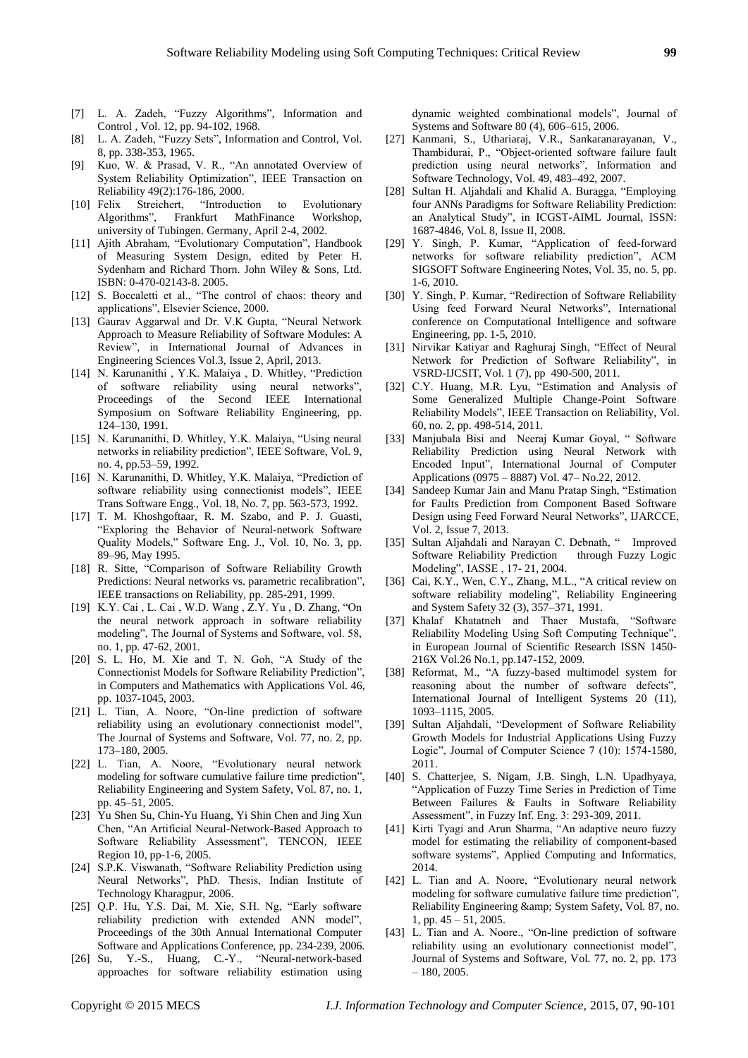- [7] L. A. Zadeh, "Fuzzy Algorithms", Information and Control , Vol. 12, pp. 94-102, 1968.
- [8] L. A. Zadeh, "Fuzzy Sets", Information and Control, Vol. 8, pp. 338-353, 1965.
- [9] Kuo, W. & Prasad, V. R., "An annotated Overview of System Reliability Optimization", IEEE Transaction on Reliability 49(2):176-186, 2000.
- [10] Felix Streichert, "Introduction to Evolutionary Algorithms", Frankfurt MathFinance Workshop, university of Tubingen. Germany, April 2-4, 2002.
- [11] Ajith Abraham, "Evolutionary Computation", Handbook of Measuring System Design, edited by Peter H. Sydenham and Richard Thorn. John Wiley & Sons, Ltd. ISBN: 0-470-02143-8. 2005.
- [12] S*.* Boccaletti et al., "The control of chaos: theory and applications", Elsevier Science, 2000.
- [13] Gaurav Aggarwal and Dr. V.K Gupta, "Neural Network Approach to Measure Reliability of Software Modules: A Review", in International Journal of Advances in Engineering Sciences Vol.3, Issue 2, April, 2013.
- [14] N. Karunanithi, Y.K. Malaiya, D. Whitley, "Prediction of software reliability using neural networks", Proceedings of the Second IEEE International Symposium on Software Reliability Engineering, pp. 124–130, 1991.
- [15] N. Karunanithi, D. Whitley, Y.K. Malaiya, "Using neural networks in reliability prediction", IEEE Software, Vol. 9, no. 4, pp.53–59, 1992.
- [16] N. Karunanithi, D. Whitley, Y.K. Malaiya, "Prediction of software reliability using connectionist models", IEEE Trans Software Engg., Vol. 18, No. 7, pp. 563-573, 1992.
- [17] T. M. Khoshgoftaar, R. M. Szabo, and P. J. Guasti, "Exploring the Behavior of Neural-network Software Quality Models," Software Eng. J., Vol. 10, No. 3, pp. 89–96, May 1995.
- [18] R. Sitte, "Comparison of Software Reliability Growth Predictions: Neural networks vs. parametric recalibration", IEEE transactions on Reliability, pp. 285-291, 1999.
- [19] K.Y. Cai , L. Cai , W.D. Wang , Z.Y. Yu , D. Zhang, "On the neural network approach in software reliability modeling", The Journal of Systems and Software, vol. 58, no. 1, pp. 47-62, 2001.
- [20] S. L. Ho, M. Xie and T. N. Goh, "A Study of the Connectionist Models for Software Reliability Prediction", in Computers and Mathematics with Applications Vol. 46, pp. 1037-1045, 2003.
- [21] L. Tian, A. Noore, "On-line prediction of software reliability using an evolutionary connectionist model", The Journal of Systems and Software, Vol. 77, no. 2, pp. 173–180, 2005.
- [22] L. Tian, A. Noore, "Evolutionary neural network modeling for software cumulative failure time prediction", Reliability Engineering and System Safety, Vol. 87, no. 1, pp. 45–51, 2005.
- [23] Yu Shen Su, Chin-Yu Huang, Yi Shin Chen and Jing Xun Chen, "An Artificial Neural-Network-Based Approach to Software Reliability Assessment", TENCON, IEEE Region 10, pp-1-6, 2005.
- [24] S.P.K. Viswanath, "Software Reliability Prediction using Neural Networks", PhD. Thesis, Indian Institute of Technology Kharagpur, 2006.
- [25] Q.P. Hu, Y.S. Dai, M. Xie, S.H. Ng, "Early software reliability prediction with extended ANN model", Proceedings of the 30th Annual International Computer Software and Applications Conference, pp. 234-239, 2006.
- [26] Su, Y.-S., Huang, C.-Y., "Neural-network-based approaches for software reliability estimation using

dynamic weighted combinational models", Journal of Systems and Software 80 (4), 606–615, 2006.

- [27] Kanmani, S., Uthariaraj, V.R., Sankaranarayanan, V., Thambidurai, P., "Object-oriented software failure fault prediction using neural networks", Information and Software Technology, Vol. 49, 483–492, 2007.
- [28] Sultan H. Aljahdali and Khalid A. Buragga, "Employing four ANNs Paradigms for Software Reliability Prediction: an Analytical Study", in ICGST-AIML Journal, ISSN: 1687-4846, Vol. 8, Issue II, 2008.
- [29] Y. Singh, P. Kumar, "Application of feed-forward networks for software reliability prediction", ACM SIGSOFT Software Engineering Notes, Vol. 35, no. 5, pp. 1-6, 2010.
- [30] Y. Singh, P. Kumar, "Redirection of Software Reliability Using feed Forward Neural Networks", International conference on Computational Intelligence and software Engineering, pp. 1-5, 2010.
- [31] Nirvikar Katiyar and Raghuraj Singh, "Effect of Neural Network for Prediction of Software Reliability", in VSRD-IJCSIT, Vol. 1 (7), pp 490-500, 2011.
- [32] C.Y. Huang, M.R. Lyu, "Estimation and Analysis of Some Generalized Multiple Change-Point Software Reliability Models", IEEE Transaction on Reliability, Vol. 60, no. 2, pp. 498-514, 2011.
- [33] Manjubala Bisi and Neeraj Kumar Goyal, " Software Reliability Prediction using Neural Network with Encoded Input", International Journal of Computer Applications (0975 – 8887) Vol. 47– No.22, 2012.
- [34] Sandeep Kumar Jain and Manu Pratap Singh, "Estimation for Faults Prediction from Component Based Software Design using Feed Forward Neural Networks", IJARCCE, Vol. 2, Issue 7, 2013.
- [35] Sultan Aljahdali and Narayan C. Debnath, " Improved Software Reliability Prediction through Fuzzy Logic Modeling", IASSE , 17- 21, 2004.
- [36] Cai, K.Y., Wen, C.Y., Zhang, M.L., "A critical review on software reliability modeling", Reliability Engineering and System Safety 32 (3), 357–371, 1991.
- [37] Khalaf Khatatneh and Thaer Mustafa, "Software Reliability Modeling Using Soft Computing Technique", in European Journal of Scientific Research ISSN 1450- 216X Vol.26 No.1, pp.147-152, 2009.
- [38] Reformat, M., "A fuzzy-based multimodel system for reasoning about the number of software defects", International Journal of Intelligent Systems 20 (11), 1093–1115, 2005.
- [39] Sultan Aljahdali, "Development of Software Reliability Growth Models for Industrial Applications Using Fuzzy Logic", Journal of Computer Science 7 (10): 1574-1580, 2011.
- [40] S. Chatterjee, S. Nigam, J.B. Singh, L.N. Upadhyaya, "Application of Fuzzy Time Series in Prediction of Time Between Failures & Faults in Software Reliability Assessment", in Fuzzy Inf. Eng. 3: 293-309, 2011.
- [41] Kirti Tyagi and Arun Sharma, "An adaptive neuro fuzzy model for estimating the reliability of component-based software systems", Applied Computing and Informatics, 2014.
- [42] L. Tian and A. Noore, "Evolutionary neural network modeling for software cumulative failure time prediction", Reliability Engineering & amp; System Safety, Vol. 87, no. 1, pp. 45 – 51, 2005.
- [43] L. Tian and A. Noore., "On-line prediction of software reliability using an evolutionary connectionist model", Journal of Systems and Software, Vol. 77, no. 2, pp. 173 – 180, 2005.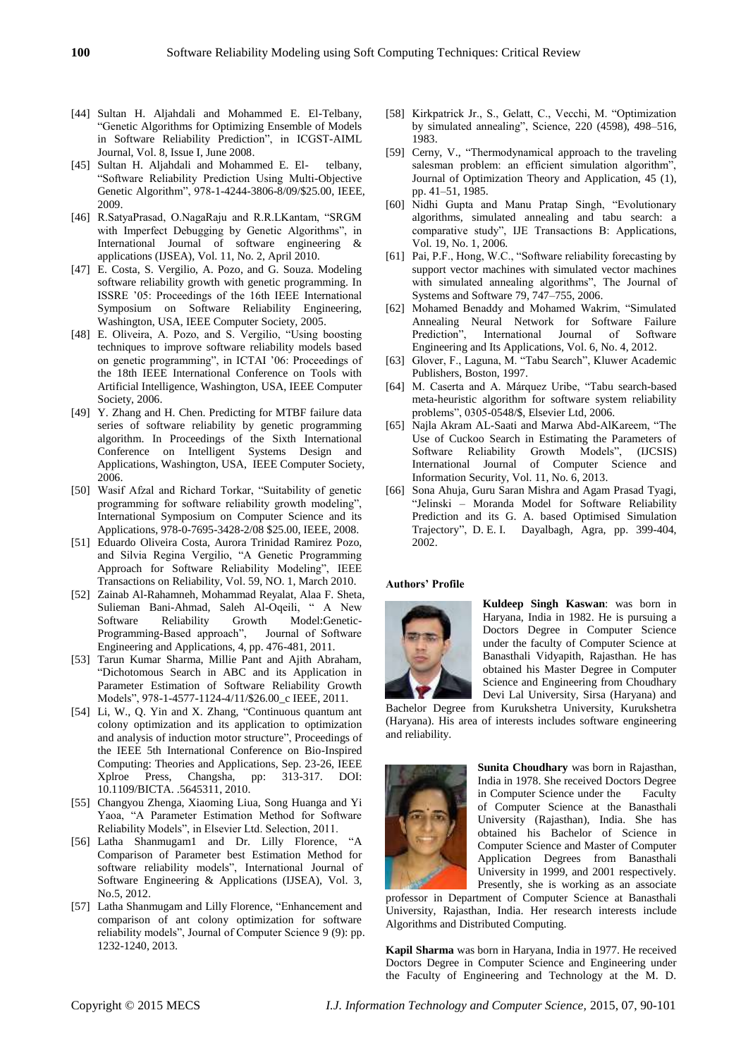- [44] Sultan H. Aljahdali and Mohammed E. El-Telbany, "Genetic Algorithms for Optimizing Ensemble of Models in Software Reliability Prediction", in ICGST-AIML Journal, Vol. 8, Issue I, June 2008.
- [45] Sultan H. Aljahdali and Mohammed E. El- telbany, "Software Reliability Prediction Using Multi-Objective Genetic Algorithm", 978-1-4244-3806-8/09/\$25.00, IEEE, 2009.
- [46] R.SatyaPrasad, O.NagaRaju and R.R.LKantam, "SRGM with Imperfect Debugging by Genetic Algorithms", in International Journal of software engineering & applications (IJSEA), Vol. 11, No. 2, April 2010.
- [47] E. Costa, S. Vergilio, A. Pozo, and G. Souza. Modeling software reliability growth with genetic programming. In ISSRE '05: Proceedings of the 16th IEEE International Symposium on Software Reliability Engineering, Washington, USA, IEEE Computer Society, 2005.
- [48] E. Oliveira, A. Pozo, and S. Vergilio, "Using boosting techniques to improve software reliability models based on genetic programming", in ICTAI '06: Proceedings of the 18th IEEE International Conference on Tools with Artificial Intelligence, Washington, USA, IEEE Computer Society, 2006.
- [49] Y. Zhang and H. Chen. Predicting for MTBF failure data series of software reliability by genetic programming algorithm. In Proceedings of the Sixth International Conference on Intelligent Systems Design and Applications, Washington, USA, IEEE Computer Society, 2006.
- [50] Wasif Afzal and Richard Torkar, "Suitability of genetic programming for software reliability growth modeling", International Symposium on Computer Science and its Applications, 978-0-7695-3428-2/08 \$25.00, IEEE, 2008.
- [51] Eduardo Oliveira Costa, Aurora Trinidad Ramirez Pozo, and Silvia Regina Vergilio, "A Genetic Programming Approach for Software Reliability Modeling", IEEE Transactions on Reliability, Vol. 59, NO. 1, March 2010.
- [52] Zainab Al-Rahamneh, Mohammad Reyalat, Alaa F. Sheta, Sulieman Bani-Ahmad, Saleh Al-Oqeili, " A New Software Reliability Growth Model:Genetic-Programming-Based approach", Journal of Software Engineering and Applications, 4, pp. 476-481, 2011.
- [53] Tarun Kumar Sharma, Millie Pant and Ajith Abraham, "Dichotomous Search in ABC and its Application in Parameter Estimation of Software Reliability Growth Models", 978-1-4577-1124-4/11/\$26.00 c IEEE, 2011.
- [54] Li, W., Q. Yin and X. Zhang, "Continuous quantum ant colony optimization and its application to optimization and analysis of induction motor structure", Proceedings of the IEEE 5th International Conference on Bio-Inspired Computing: Theories and Applications, Sep. 23-26, IEEE Xplroe Press, Changsha, pp: 313-317. DOI: 10.1109/BICTA. .5645311, 2010.
- [55] Changyou Zhenga, Xiaoming Liua, Song Huanga and Yi Yaoa, "A Parameter Estimation Method for Software Reliability Models", in Elsevier Ltd. Selection, 2011.
- [56] Latha Shanmugam1 and Dr. Lilly Florence, "A Comparison of Parameter best Estimation Method for software reliability models", International Journal of Software Engineering & Applications (IJSEA), Vol. 3, No.5, 2012.
- [57] Latha Shanmugam and Lilly Florence, "Enhancement and comparison of ant colony optimization for software reliability models", Journal of Computer Science 9 (9): pp. 1232-1240, 2013.
- [58] Kirkpatrick Jr., S., Gelatt, C., Vecchi, M. "Optimization by simulated annealing", Science, 220 (4598), 498–516, 1983.
- [59] Cerny, V., "Thermodynamical approach to the traveling salesman problem: an efficient simulation algorithm", Journal of Optimization Theory and Application, 45 (1), pp. 41–51, 1985.
- [60] Nidhi Gupta and Manu Pratap Singh, "Evolutionary algorithms, simulated annealing and tabu search: a comparative study", IJE Transactions B: Applications, Vol. 19, No. 1, 2006.
- [61] Pai, P.F., Hong, W.C., "Software reliability forecasting by support vector machines with simulated vector machines with simulated annealing algorithms", The Journal of Systems and Software 79, 747–755, 2006.
- [62] Mohamed Benaddy and Mohamed Wakrim, "Simulated Annealing Neural Network for Software Failure Prediction", International Journal of Software Engineering and Its Applications, Vol. 6, No. 4, 2012.
- [63] Glover, F., Laguna, M. "Tabu Search", Kluwer Academic Publishers, Boston, 1997.
- [64] M. Caserta and A. Márquez Uribe, "Tabu search-based meta-heuristic algorithm for software system reliability problems", 0305-0548/\$, Elsevier Ltd, 2006.
- [65] Najla Akram AL-Saati and Marwa Abd-AlKareem, "The Use of Cuckoo Search in Estimating the Parameters of Software Reliability Growth Models", (IJCSIS) International Journal of Computer Science and Information Security, Vol. 11, No. 6, 2013.
- [66] Sona Ahuja, Guru Saran Mishra and Agam Prasad Tyagi, "Jelinski – Moranda Model for Software Reliability Prediction and its G. A. based Optimised Simulation Trajectory", D. E. I. Dayalbagh, Agra, pp. 399-404, 2002.

#### **Authors' Profile**



**Kuldeep Singh Kaswan**: was born in Haryana, India in 1982. He is pursuing a Doctors Degree in Computer Science under the faculty of Computer Science at Banasthali Vidyapith, Rajasthan. He has obtained his Master Degree in Computer Science and Engineering from Choudhary Devi Lal University, Sirsa (Haryana) and

Bachelor Degree from Kurukshetra University, Kurukshetra (Haryana). His area of interests includes software engineering and reliability.



**Sunita Choudhary** was born in Rajasthan, India in 1978. She received Doctors Degree in Computer Science under the Faculty of Computer Science at the Banasthali University (Rajasthan), India. She has obtained his Bachelor of Science in Computer Science and Master of Computer Application Degrees from Banasthali University in 1999, and 2001 respectively. Presently, she is working as an associate

professor in Department of Computer Science at Banasthali University, Rajasthan, India. Her research interests include Algorithms and Distributed Computing.

**Kapil Sharma** was born in Haryana, India in 1977. He received Doctors Degree in Computer Science and Engineering under the Faculty of Engineering and Technology at the M. D.